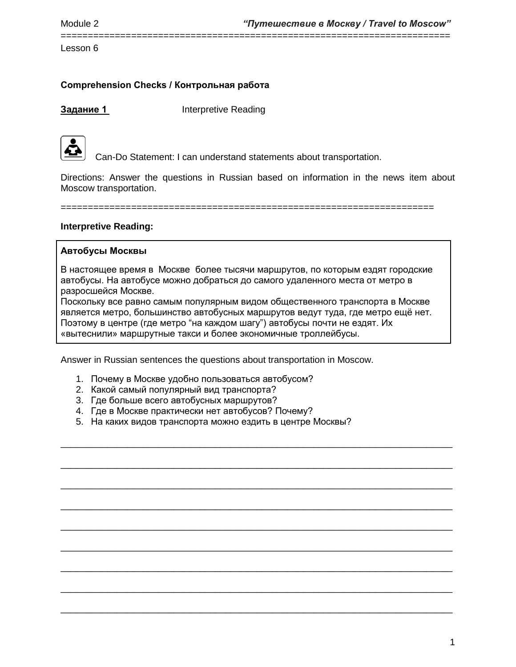========================================================================

Lesson 6

## **Comprehension Checks / Контрольная работа**

**Задание 1** Interpretive Reading



Can-Do Statement: I can understand statements about transportation.

Directions: Answer the questions in Russian based on information in the news item about Moscow transportation.

=====================================================================

#### **Interpretive Reading:**

#### **Автобусы Москвы**

В настоящее время в Москве более тысячи маршрутов, по которым ездят городские автобусы. На автобусе можно добраться до самого удаленного места от метро в разросшейся Москве.

Поскольку все равно самым популярным видом общественного транспорта в Москве является метро, большинство автобусных маршрутов ведут туда, где метро ещё нет. Поэтому в центре (где метро "на каждом шагу") автобусы почти не ездят. Их «вытеснили» маршрутные такси и более экономичные троллейбусы.

\_\_\_\_\_\_\_\_\_\_\_\_\_\_\_\_\_\_\_\_\_\_\_\_\_\_\_\_\_\_\_\_\_\_\_\_\_\_\_\_\_\_\_\_\_\_\_\_\_\_\_\_\_\_\_\_\_\_\_\_\_\_\_\_\_\_\_\_\_\_\_\_\_\_\_\_

\_\_\_\_\_\_\_\_\_\_\_\_\_\_\_\_\_\_\_\_\_\_\_\_\_\_\_\_\_\_\_\_\_\_\_\_\_\_\_\_\_\_\_\_\_\_\_\_\_\_\_\_\_\_\_\_\_\_\_\_\_\_\_\_\_\_\_\_\_\_\_\_\_\_\_\_

\_\_\_\_\_\_\_\_\_\_\_\_\_\_\_\_\_\_\_\_\_\_\_\_\_\_\_\_\_\_\_\_\_\_\_\_\_\_\_\_\_\_\_\_\_\_\_\_\_\_\_\_\_\_\_\_\_\_\_\_\_\_\_\_\_\_\_\_\_\_\_\_\_\_\_\_

\_\_\_\_\_\_\_\_\_\_\_\_\_\_\_\_\_\_\_\_\_\_\_\_\_\_\_\_\_\_\_\_\_\_\_\_\_\_\_\_\_\_\_\_\_\_\_\_\_\_\_\_\_\_\_\_\_\_\_\_\_\_\_\_\_\_\_\_\_\_\_\_\_\_\_\_

\_\_\_\_\_\_\_\_\_\_\_\_\_\_\_\_\_\_\_\_\_\_\_\_\_\_\_\_\_\_\_\_\_\_\_\_\_\_\_\_\_\_\_\_\_\_\_\_\_\_\_\_\_\_\_\_\_\_\_\_\_\_\_\_\_\_\_\_\_\_\_\_\_\_\_\_

\_\_\_\_\_\_\_\_\_\_\_\_\_\_\_\_\_\_\_\_\_\_\_\_\_\_\_\_\_\_\_\_\_\_\_\_\_\_\_\_\_\_\_\_\_\_\_\_\_\_\_\_\_\_\_\_\_\_\_\_\_\_\_\_\_\_\_\_\_\_\_\_\_\_\_\_

\_\_\_\_\_\_\_\_\_\_\_\_\_\_\_\_\_\_\_\_\_\_\_\_\_\_\_\_\_\_\_\_\_\_\_\_\_\_\_\_\_\_\_\_\_\_\_\_\_\_\_\_\_\_\_\_\_\_\_\_\_\_\_\_\_\_\_\_\_\_\_\_\_\_\_\_

\_\_\_\_\_\_\_\_\_\_\_\_\_\_\_\_\_\_\_\_\_\_\_\_\_\_\_\_\_\_\_\_\_\_\_\_\_\_\_\_\_\_\_\_\_\_\_\_\_\_\_\_\_\_\_\_\_\_\_\_\_\_\_\_\_\_\_\_\_\_\_\_\_\_\_\_

\_\_\_\_\_\_\_\_\_\_\_\_\_\_\_\_\_\_\_\_\_\_\_\_\_\_\_\_\_\_\_\_\_\_\_\_\_\_\_\_\_\_\_\_\_\_\_\_\_\_\_\_\_\_\_\_\_\_\_\_\_\_\_\_\_\_\_\_\_\_\_\_\_\_\_\_

Answer in Russian sentences the questions about transportation in Moscow.

- 1. Почему в Москве удобно пользоваться автобусом?
- 2. Какой самый популярный вид транспорта?
- 3. Где больше всего автобусных маршрутов?
- 4. Где в Москве практически нет автобусов? Почему?
- 5. На каких видов транспорта можно ездить в центре Москвы?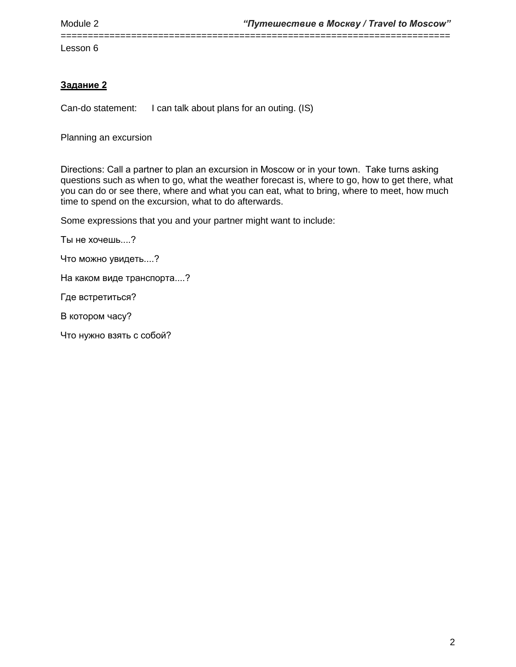Lesson 6

# **Задание 2**

Can-do statement: I can talk about plans for an outing. (IS)

Planning an excursion

Directions: Сall a partner to plan an excursion in Moscow or in your town. Take turns asking questions such as when to go, what the weather forecast is, where to go, how to get there, what you can do or see there, where and what you can eat, what to bring, where to meet, how much time to spend on the excursion, what to do afterwards.

========================================================================

Some expressions that you and your partner might want to include:

Ты не хочешь....?

Что можно увидеть....?

На каком виде транспорта....?

Где встретиться?

В котором часу?

Что нужно взять с собой?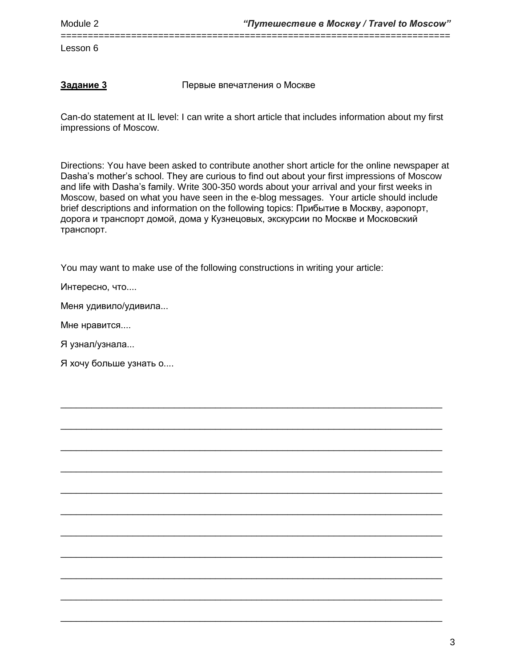Lesson 6

## **Задание 3** Первые впечатления о Москве

Сan-do statement at IL level: I can write a short article that includes information about my first impressions of Moscow.

========================================================================

Directions: You have been asked to contribute another short article for the online newspaper at Dasha's mother's school. They are curious to find out about your first impressions of Moscow and life with Dasha's family. Write 300-350 words about your arrival and your first weeks in Moscow, based on what you have seen in the e-blog messages. Your article should include brief descriptions and information on the following topics: Прибытие в Москву, аэропорт, дорога и транспорт домой, дома у Кузнецовых, экскурсии по Москве и Московский транспорт.

\_\_\_\_\_\_\_\_\_\_\_\_\_\_\_\_\_\_\_\_\_\_\_\_\_\_\_\_\_\_\_\_\_\_\_\_\_\_\_\_\_\_\_\_\_\_\_\_\_\_\_\_\_\_\_\_\_\_\_\_\_\_\_\_\_\_\_\_\_\_\_\_\_\_

\_\_\_\_\_\_\_\_\_\_\_\_\_\_\_\_\_\_\_\_\_\_\_\_\_\_\_\_\_\_\_\_\_\_\_\_\_\_\_\_\_\_\_\_\_\_\_\_\_\_\_\_\_\_\_\_\_\_\_\_\_\_\_\_\_\_\_\_\_\_\_\_\_\_

\_\_\_\_\_\_\_\_\_\_\_\_\_\_\_\_\_\_\_\_\_\_\_\_\_\_\_\_\_\_\_\_\_\_\_\_\_\_\_\_\_\_\_\_\_\_\_\_\_\_\_\_\_\_\_\_\_\_\_\_\_\_\_\_\_\_\_\_\_\_\_\_\_\_

\_\_\_\_\_\_\_\_\_\_\_\_\_\_\_\_\_\_\_\_\_\_\_\_\_\_\_\_\_\_\_\_\_\_\_\_\_\_\_\_\_\_\_\_\_\_\_\_\_\_\_\_\_\_\_\_\_\_\_\_\_\_\_\_\_\_\_\_\_\_\_\_\_\_

\_\_\_\_\_\_\_\_\_\_\_\_\_\_\_\_\_\_\_\_\_\_\_\_\_\_\_\_\_\_\_\_\_\_\_\_\_\_\_\_\_\_\_\_\_\_\_\_\_\_\_\_\_\_\_\_\_\_\_\_\_\_\_\_\_\_\_\_\_\_\_\_\_\_

\_\_\_\_\_\_\_\_\_\_\_\_\_\_\_\_\_\_\_\_\_\_\_\_\_\_\_\_\_\_\_\_\_\_\_\_\_\_\_\_\_\_\_\_\_\_\_\_\_\_\_\_\_\_\_\_\_\_\_\_\_\_\_\_\_\_\_\_\_\_\_\_\_\_

\_\_\_\_\_\_\_\_\_\_\_\_\_\_\_\_\_\_\_\_\_\_\_\_\_\_\_\_\_\_\_\_\_\_\_\_\_\_\_\_\_\_\_\_\_\_\_\_\_\_\_\_\_\_\_\_\_\_\_\_\_\_\_\_\_\_\_\_\_\_\_\_\_\_

\_\_\_\_\_\_\_\_\_\_\_\_\_\_\_\_\_\_\_\_\_\_\_\_\_\_\_\_\_\_\_\_\_\_\_\_\_\_\_\_\_\_\_\_\_\_\_\_\_\_\_\_\_\_\_\_\_\_\_\_\_\_\_\_\_\_\_\_\_\_\_\_\_\_

\_\_\_\_\_\_\_\_\_\_\_\_\_\_\_\_\_\_\_\_\_\_\_\_\_\_\_\_\_\_\_\_\_\_\_\_\_\_\_\_\_\_\_\_\_\_\_\_\_\_\_\_\_\_\_\_\_\_\_\_\_\_\_\_\_\_\_\_\_\_\_\_\_\_

\_\_\_\_\_\_\_\_\_\_\_\_\_\_\_\_\_\_\_\_\_\_\_\_\_\_\_\_\_\_\_\_\_\_\_\_\_\_\_\_\_\_\_\_\_\_\_\_\_\_\_\_\_\_\_\_\_\_\_\_\_\_\_\_\_\_\_\_\_\_\_\_\_\_

\_\_\_\_\_\_\_\_\_\_\_\_\_\_\_\_\_\_\_\_\_\_\_\_\_\_\_\_\_\_\_\_\_\_\_\_\_\_\_\_\_\_\_\_\_\_\_\_\_\_\_\_\_\_\_\_\_\_\_\_\_\_\_\_\_\_\_\_\_\_\_\_\_\_

You may want to make use of the following constructions in writing your article:

Интересно, что....

Меня удивило/удивила...

Мне нравится....

Я узнал/узнала...

Я хочу больше узнать о....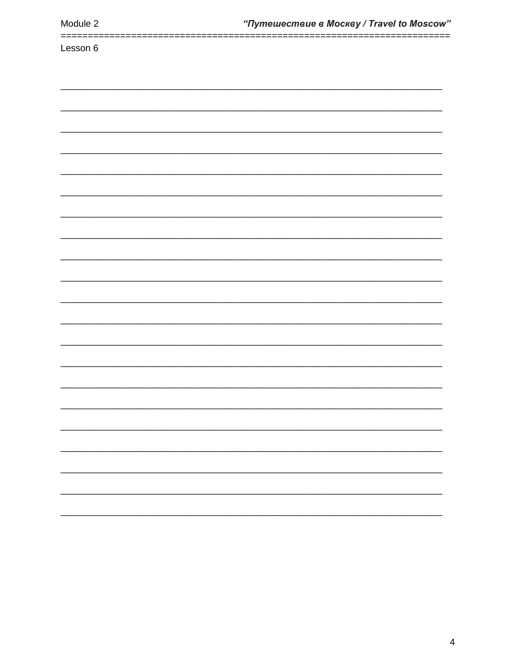| ============= |  |  | == |
|---------------|--|--|----|
| Lesson 6      |  |  |    |
|               |  |  |    |
|               |  |  |    |
|               |  |  |    |
|               |  |  |    |
|               |  |  |    |
|               |  |  |    |
|               |  |  |    |
|               |  |  |    |
|               |  |  |    |
|               |  |  |    |
|               |  |  |    |
|               |  |  |    |
|               |  |  |    |
|               |  |  |    |
|               |  |  |    |
|               |  |  |    |
|               |  |  |    |
|               |  |  |    |
|               |  |  |    |
|               |  |  |    |
|               |  |  |    |
|               |  |  |    |
|               |  |  |    |
|               |  |  |    |
|               |  |  |    |
|               |  |  |    |
|               |  |  |    |
|               |  |  |    |
|               |  |  |    |
|               |  |  |    |
|               |  |  |    |
|               |  |  |    |
|               |  |  |    |
|               |  |  |    |
|               |  |  |    |
|               |  |  |    |
|               |  |  |    |
|               |  |  |    |
|               |  |  |    |
|               |  |  |    |
|               |  |  |    |
|               |  |  |    |
|               |  |  |    |
|               |  |  |    |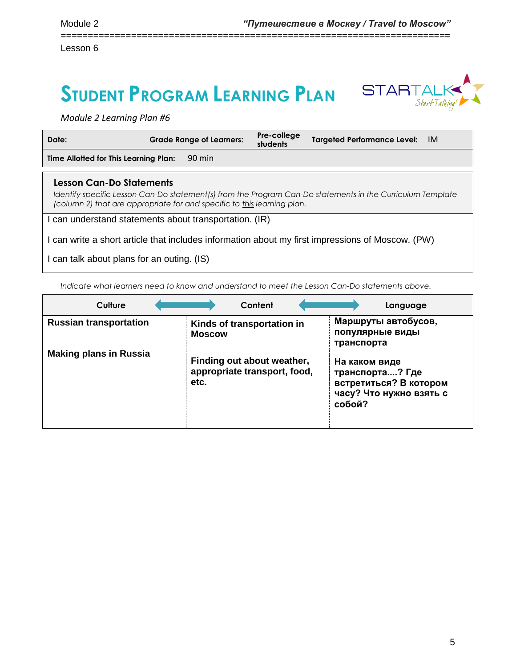Lesson 6

# **STUDENT PROGRAM LEARNING PLAN**



*Module 2 Learning Plan #6*

| Date:                                                                                                                                                                                 |  | <b>Grade Range of Learners:</b> | Pre-college<br>students | <b>Targeted Performance Level:</b> | -IM |
|---------------------------------------------------------------------------------------------------------------------------------------------------------------------------------------|--|---------------------------------|-------------------------|------------------------------------|-----|
| Time Allotted for This Learning Plan:                                                                                                                                                 |  | 90 min                          |                         |                                    |     |
| Lesson Can-Do Statements                                                                                                                                                              |  |                                 |                         |                                    |     |
| Identify specific Lesson Can-Do statement(s) from the Program Can-Do statements in the Curriculum Template<br>(column 2) that are appropriate for and specific to this learning plan. |  |                                 |                         |                                    |     |

========================================================================

I can understand statements about transportation. (IR)

I can write a short article that includes information about my first impressions of Moscow. (PW)

I can talk about plans for an outing. (IS)

*Indicate what learners need to know and understand to meet the Lesson Can-Do statements above.* 

| Culture                       | Content                                                            | Language                                                                                        |
|-------------------------------|--------------------------------------------------------------------|-------------------------------------------------------------------------------------------------|
| <b>Russian transportation</b> | Kinds of transportation in<br><b>Moscow</b>                        | Маршруты автобусов,<br>популярные виды<br>транспорта                                            |
| <b>Making plans in Russia</b> | Finding out about weather,<br>appropriate transport, food,<br>etc. | На каком виде<br>транспорта? Где<br>встретиться? В котором<br>часу? Что нужно взять с<br>собой? |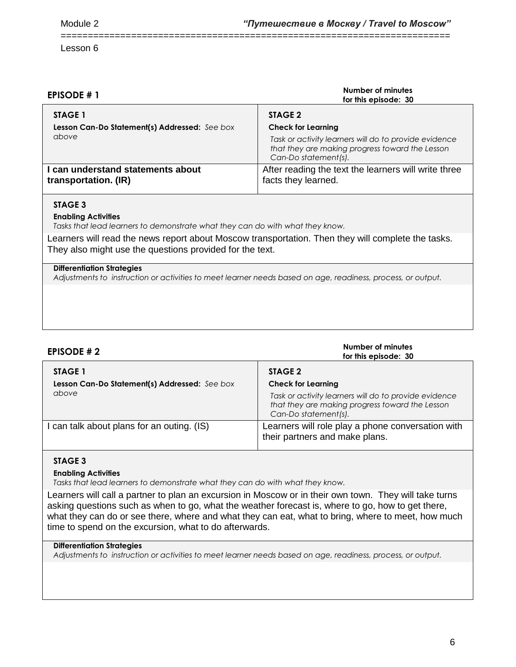========================================================================

Lesson 6

| <b>EPISODE #1</b>                                                 | Number of minutes<br>for this episode: 30                                                                                                                                |
|-------------------------------------------------------------------|--------------------------------------------------------------------------------------------------------------------------------------------------------------------------|
| STAGE 1<br>Lesson Can-Do Statement(s) Addressed: See box<br>above | STAGE 2<br><b>Check for Learning</b><br>Task or activity learners will do to provide evidence<br>that they are making progress toward the Lesson<br>Can-Do statement(s). |
| I can understand statements about<br>transportation. (IR)         | After reading the text the learners will write three<br>facts they learned.                                                                                              |

### **STAGE 3**

#### **Enabling Activities**

*Tasks that lead learners to demonstrate what they can do with what they know.*

Learners will read the news report about Moscow transportation. Then they will complete the tasks. They also might use the questions provided for the text.

#### **Differentiation Strategies**

*Adjustments to instruction or activities to meet learner needs based on age, readiness, process, or output.*

| <b>EPISODE #2</b>                             | Number of minutes<br>for this episode: 30                                                                                        |
|-----------------------------------------------|----------------------------------------------------------------------------------------------------------------------------------|
| STAGE 1                                       | STAGE 2                                                                                                                          |
| Lesson Can-Do Statement(s) Addressed: See box | <b>Check for Learning</b>                                                                                                        |
| above                                         | Task or activity learners will do to provide evidence<br>that they are making progress toward the Lesson<br>Can-Do statement(s). |
| I can talk about plans for an outing. (IS)    | Learners will role play a phone conversation with<br>their partners and make plans.                                              |

#### **STAGE 3**

#### **Enabling Activities**

*Tasks that lead learners to demonstrate what they can do with what they know.*

Learners will call a partner to plan an excursion in Moscow or in their own town. They will take turns asking questions such as when to go, what the weather forecast is, where to go, how to get there, what they can do or see there, where and what they can eat, what to bring, where to meet, how much time to spend on the excursion, what to do afterwards.

#### **Differentiation Strategies**

*Adjustments to instruction or activities to meet learner needs based on age, readiness, process, or output.*